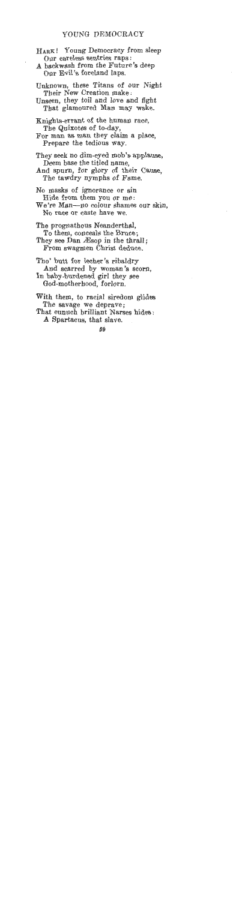## YOUNG DEMOCRACY

**HARK!** Young Democracy from sleep Our careless sentries raps :

A backwash from the Future's deep Our Evil's foreland laps.

- Unknown, these Titans of our Night Their New Creation make :
- Unseen, they toil and love and fight That glamoured Man may wake.
- Knights-errant of the human race, The Quixotes of to-day,

For man as man they claim a place, Prepare the tedious way.

They seek no dim-eyed mob's applause, Deem base the titled name,

And spurn, for glory of their Cause, The tawdry nymphs of Fame.

We're Man-no colour shames our skin, No race or caste have we.

The prognathous Neanderthal, To them, conceals the Bruce;

They see Dan Æsop in the thrall; From swagmen Christ deduce.

- Tho' butt for lecher's ribaldry And scarred by woman's scorn,
- In baby-burdened girl they see God-motherhood, forlorn,
- With them, to racial siredom glides The savage we deprave;
- That eunuch brilliant Narses hides :

A Spartacus, that slave.

No masks of ignorance or sin Hide from them you or me: